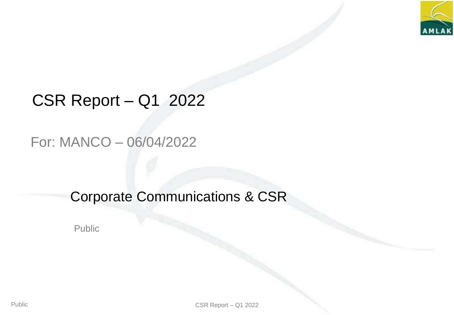

# CSR Report – Q1 2022

### For: MANCO – 06/04/2022

## Corporate Communications & CSR

Public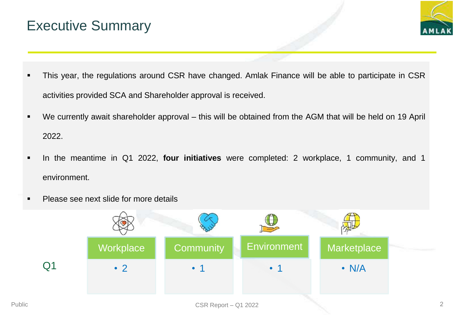## Executive Summary



- This year, the regulations around CSR have changed. Amlak Finance will be able to participate in CSR activities provided SCA and Shareholder approval is received.
- We currently await shareholder approval this will be obtained from the AGM that will be held on 19 April 2022.
- In the meantime in Q1 2022, **four initiatives** were completed: 2 workplace, 1 community, and 1 environment.
- **Please see next slide for more details**

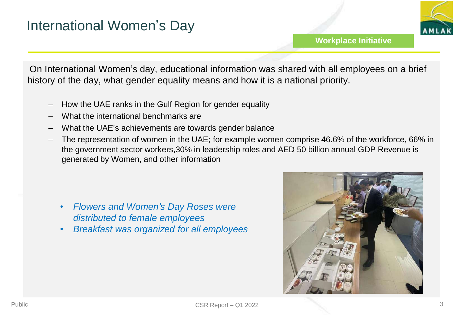

On International Women's day, educational information was shared with all employees on a brief history of the day, what gender equality means and how it is a national priority.

- How the UAE ranks in the Gulf Region for gender equality
- What the international benchmarks are
- What the UAE's achievements are towards gender balance
- The representation of women in the UAE; for example women comprise 46.6% of the workforce, 66% in the government sector workers,30% in leadership roles and AED 50 billion annual GDP Revenue is generated by Women, and other information

- *Flowers and Women's Day Roses were distributed to female employees*
- *Breakfast was organized for all employees*

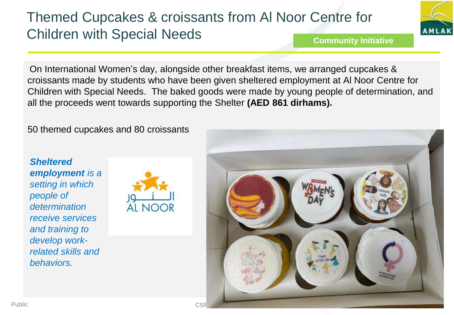# Themed Cupcakes & croissants from Al Noor Centre for Children with Special Needs



**Community Initiative**

On International Women's day, alongside other breakfast items, we arranged cupcakes & croissants made by students who have been given sheltered employment at Al Noor Centre for Children with Special Needs. The baked goods were made by young people of determination, and all the proceeds went towards supporting the Shelter **(AED 861 dirhams).** 

50 themed cupcakes and 80 croissants

*Sheltered employment is a setting in which people of determination receive services and training to develop workrelated skills and behaviors.*



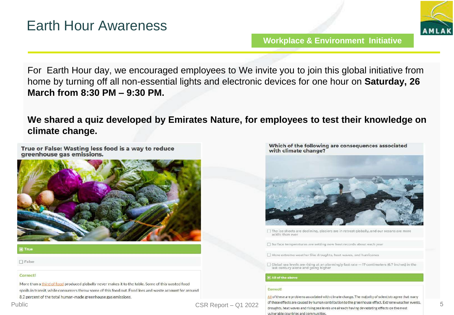

For Earth Hour day, we encouraged employees to We invite you to join this global initiative from home by turning off all non-essential lights and electronic devices for one hour on **Saturday, 26 March from 8:30 PM – 9:30 PM.** 

**We shared a quiz developed by Emirates Nature, for employees to test their knowledge on climate change.**

True or False: Wasting less food is a way to reduce greenhouse gas emissions.



 $\Box$  False

### Correct!

More than a third of food produced globally never makes it to the table. Some of this wasted food spoils in transit, while consumers throw some of this food out. Food loss and waste account for around 8.2 percent of the total human-made greenhouse gas emissions.

Which of the following are consequences associated with climate change?



The ice sheets are declining, glaciers are in retreat globally, and our oceans are more acidic than ever

Surface temperatures are setting new heat records about each year

More extreme weather like droughts, heat waves, and hurricanes

 $\Box$  Clobal sea levels are rising at an alarmingly fast rate  $-17$  centimeters (6.7 inches) in the last century alone and going higher

All of the above

### Correct!

All of these are problems associated with climate change. The majority of scientists agree that many of these effects are caused by human contribution to the greenhouse effect. Extreme weather events, droughts, heat waves and rising sea levels are already having devastating effects on the most vulnerable countries and communities.

Public **CSR Report – Q1 2022**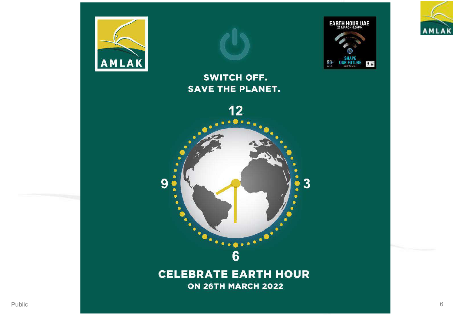



### SWITCH OFF. **SAVE THE PLANET.**



### **CELEBRATE EARTH HOUR** ON 26TH MARCH 2022



EARTH HOUR UAE

**SHAPE**<br>OUR FUTURE

 $0 \omega$ 

 $60+$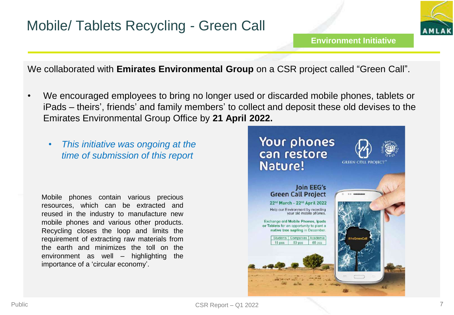

We collaborated with **Emirates Environmental Group** on a CSR project called "Green Call".

- We encouraged employees to bring no longer used or discarded mobile phones, tablets or iPads – theirs', friends' and family members' to collect and deposit these old devises to the Emirates Environmental Group Office by **21 April 2022.**
	- *This initiative was ongoing at the time of submission of this report*

Mobile phones contain various precious resources, which can be extracted and reused in the industry to manufacture new mobile phones and various other products. Recycling closes the loop and limits the requirement of extracting raw materials from the earth and minimizes the toll on the environment as well – highlighting the importance of a 'circular economy'.